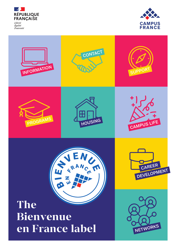



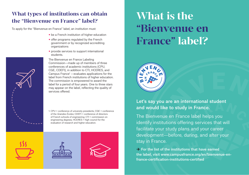#### **What types of institutions can obtain the "Bienvenue en France" label?**

To apply for the "Bienvenue en France" label, an institution must:

- be a French institution of higher education
- offer programs regulated by the French government or by recognized accrediting organizations
- provide services to support international students.

The Bienvenue en France Labeling Commission—made up of members of three conferences of academic institutions (CPU, CGE, CDEFI), in addition to CTI, HCERES, and Campus France<sup>1</sup> —evaluates applications for the label from French institutions of higher education. The commission is empowered to award the label for a period of four years. One to three stars may appear on the label, reflecting the quality of services offered.

1. CPU = conference of university presidents; CGE = conference of the Grandes Écoles; CDEFI = conference of directors of French schools of engineering; CTI = commission on engineering degrees; HCERES = high council for the evaluation of research and higher education.

# **What is the "Bienvenue en France" label?**



**Let's say you are an international student and would like to study in France.** 

The Bienvenue en France label helps you identify institutions offering services that will facilitate your study plans and your career development—before, during, and after your stay in France.

**→ For the list of the institutions that have earned the label, visit www.campusfrance.org/en/bienvenue-enfrance-certification-institutions-certified**





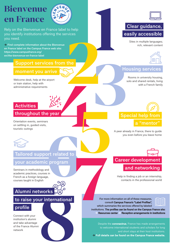# **Bienvenue en France**



Rely on the Bienvenue en France label to help you identify institutions offering the services you need.

 **Find complete information about the Bienvenue en France label on the Campus France web site: https://www.campusfrance.org/ en/the-bienvenue-en-france-label**

# **Support services from the**

#### **moment you arrive**

Welcome desk, help at the airport or train station, help with administrative requirements

#### **Activities**

### **throughout the year**

Orientation events, seminars on settling in, guided visits, touristic outings



# ort related to<br>
c program<br>
<sup>d</sup><br>
s<sub>in</sub><br>
rks 200 **Tailored support related to**

### **your academic program**

Seminars in methodology and academic practices, courses in French as a foreign language, courses taught in English

# **Alumni networks**

## **to raise your international**

# **profile**

Connect with your institution's alumni and take advantage of the France Alumni network

# **Clear guidance, easily accessible**



# **Housing services**

Rooms in university housing, solo and shared rentals, living with a French family

# Sites in multiple languages;<br>
Trom the<br> **1842**<br>
Sites in multiple languages;<br>
1843<br>
The Housing services<br>
Rooms in university housing<br>
solo and share dreads, liking<br>
with a French family<br>
What a French family<br>
24<br>
You even **a "mentor"**

A peer already in France, there to guide you even before you leave home



Help in finding a job or an internship, contacts in the professional world

**Example 18 For more information on all of these measures,**<br>
sconsult Campus France's "Label Profiles",<br>
which summarize the services offered by labeled<br>
institutions. The profiles can be found on the Campus<br>
→ Resources **consult Campus France's "Label Profiles", which summarize the services offered by labeled institutions. The profiles can be found on the Campus France site:** For more<br>
For more<br>
which sum<br>
institutions. The<br> **7** Resources  **Resources center Reception arrangements in institutions**

Despite the **coronavirus**, France has made arrangements to welcome international students and scholars for long and short stays at their host institutions.

 **Full details can be found on the Campus France website.**